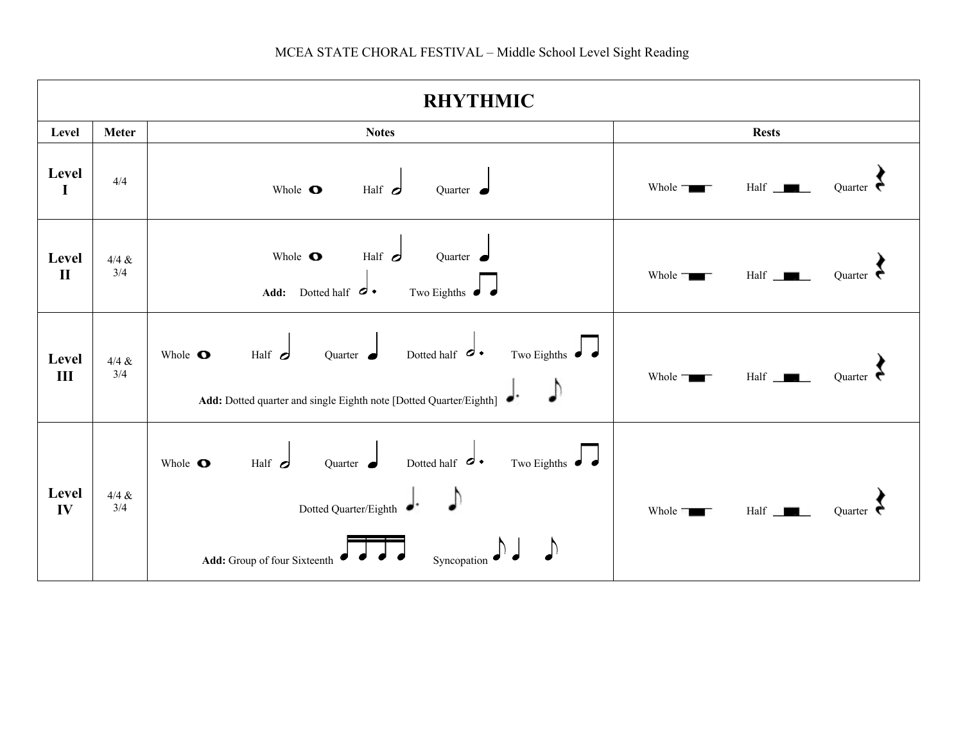| <b>RHYTHMIC</b>         |                   |                                                                                                                                                                             |                                              |  |  |  |
|-------------------------|-------------------|-----------------------------------------------------------------------------------------------------------------------------------------------------------------------------|----------------------------------------------|--|--|--|
| Level                   | <b>Meter</b>      | <b>Notes</b>                                                                                                                                                                | <b>Rests</b>                                 |  |  |  |
| Level<br>I              | 4/4               | Whole <b>O</b><br>Half $\sigma$<br>Quarter $\bullet$                                                                                                                        | Half $\Box$<br>Whole $\Box$<br>Ouarter       |  |  |  |
| Level<br>$\mathbf{I}$   | $4/4 \ \&$<br>3/4 | Half $\sigma$<br>Whole $\bullet$<br>Quarter $\bullet$<br>Two Eighths $\int$<br>Dotted half $\sigma$ .<br>Add:                                                               | Whole =<br>Half<br>Ouarter                   |  |  |  |
| Level<br>$\mathbf{III}$ | $4/4$ &<br>3/4    | Quarter Dotted half $\sigma$ .<br>Two Eighths $\int$<br>Half $\sigma$<br>Whole $\bullet$<br>Add: Dotted quarter and single Eighth note [Dotted Quarter/Eighth]              | Half<br>Whole <b>T</b><br>Ouarter            |  |  |  |
| Level<br>IV             | $4/4 \ \&$<br>3/4 | $\frac{1}{2}$ Dotted half $\frac{1}{2}$<br>Half $\sigma$<br>Two Eighths $\bullet$<br>Whole <b>O</b><br>Dotted Quarter/Eighth<br>Add: Group of four Sixteenth<br>Syncopation | Half<br>Whole <b>Table</b><br><b>Ouarter</b> |  |  |  |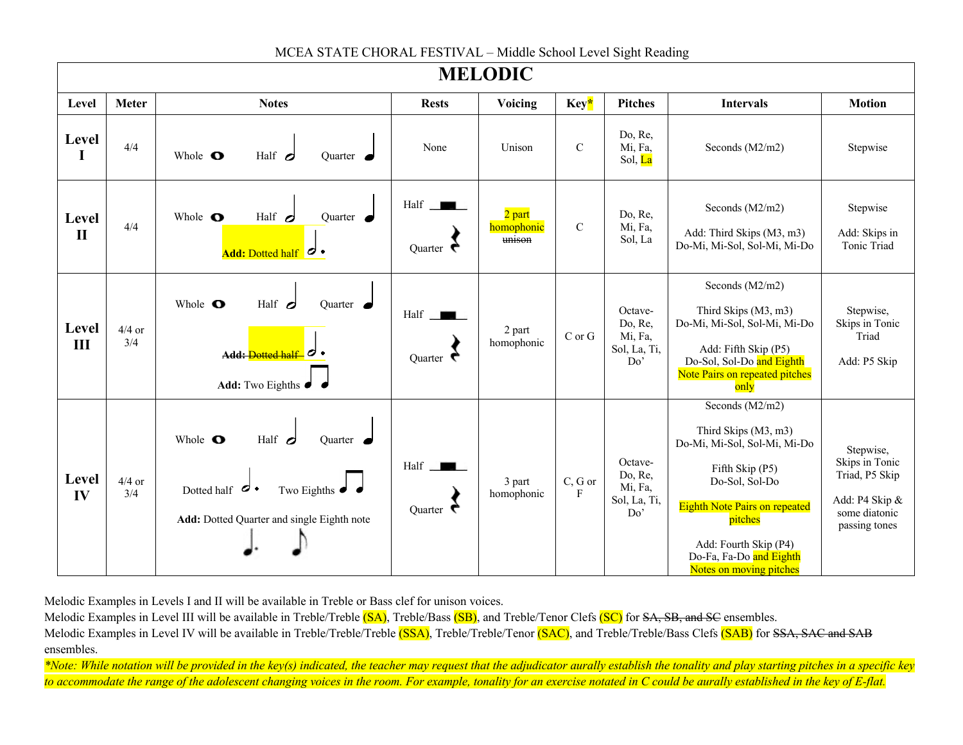| <b>MELODIC</b>        |                 |                                                                                                                                                                 |                                 |                                |               |                                                      |                                                                                                                                                                                                                                                |                                                                                                   |
|-----------------------|-----------------|-----------------------------------------------------------------------------------------------------------------------------------------------------------------|---------------------------------|--------------------------------|---------------|------------------------------------------------------|------------------------------------------------------------------------------------------------------------------------------------------------------------------------------------------------------------------------------------------------|---------------------------------------------------------------------------------------------------|
| Level                 | <b>Meter</b>    | <b>Notes</b>                                                                                                                                                    | <b>Rests</b>                    | Voicing                        | Key*          | <b>Pitches</b>                                       | <b>Intervals</b>                                                                                                                                                                                                                               | <b>Motion</b>                                                                                     |
| Level<br>I            | 4/4             | Whole O<br>Half $\sigma$<br>Ouarter $\bullet$                                                                                                                   | None                            | Unison                         | $\mathbf C$   | Do, Re,<br>Mi, Fa,<br>Sol, La                        | Seconds (M2/m2)                                                                                                                                                                                                                                | Stepwise                                                                                          |
| Level<br>$\mathbf{I}$ | 4/4             | Half $d$<br>Whole $\bullet$<br>Quarter $\bullet$<br>Add: Dotted half $\sigma$ .                                                                                 | Half<br>Quarter $\epsilon$      | 2 part<br>homophonic<br>unison | $\mathcal{C}$ | Do, Re,<br>Mi, Fa,<br>Sol, La                        | Seconds (M2/m2)<br>Add: Third Skips (M3, m3)<br>Do-Mi, Mi-Sol, Sol-Mi, Mi-Do                                                                                                                                                                   | Stepwise<br>Add: Skips in<br>Tonic Triad                                                          |
| Level<br>III          | $4/4$ or<br>3/4 | Whole O<br>Half $\sigma$<br>Quarter $\bullet$<br>Add: Dotted half $\sigma$ .<br>Add: Two Eighths $\bullet$                                                      | Half<br>Quarter $\epsilon$      | 2 part<br>homophonic           | $C$ or $G$    | Octave-<br>Do, Re,<br>Mi, Fa,<br>Sol, La, Ti,<br>Do' | Seconds (M2/m2)<br>Third Skips (M3, m3)<br>Do-Mi, Mi-Sol, Sol-Mi, Mi-Do<br>Add: Fifth Skip (P5)<br>Do-Sol, Sol-Do and Eighth<br>Note Pairs on repeated pitches<br>only                                                                         | Stepwise,<br>Skips in Tonic<br>Triad<br>Add: P5 Skip                                              |
| Level<br>IV           | $4/4$ or<br>3/4 | Whole O<br>Half $\sigma$<br>Ouarter $\bullet$<br>Dotted half<br>$\sigma \cdot$<br>Two Eighths $\bullet$ $\bullet$<br>Add: Dotted Quarter and single Eighth note | $Half \t$<br>Quarter $\epsilon$ | 3 part<br>homophonic           | C, G or<br>F  | Octave-<br>Do, Re,<br>Mi, Fa,<br>Sol, La, Ti,<br>Do' | Seconds (M2/m2)<br>Third Skips (M3, m3)<br>Do-Mi, Mi-Sol, Sol-Mi, Mi-Do<br>Fifth Skip (P5)<br>Do-Sol, Sol-Do<br><b>Eighth Note Pairs on repeated</b><br>pitches<br>Add: Fourth Skip (P4)<br>Do-Fa, Fa-Do and Eighth<br>Notes on moving pitches | Stepwise,<br>Skips in Tonic<br>Triad, P5 Skip<br>Add: P4 Skip &<br>some diatonic<br>passing tones |

## MCEA STATE CHORAL FESTIVAL – Middle School Level Sight Reading

Melodic Examples in Levels I and II will be available in Treble or Bass clef for unison voices.

Melodic Examples in Level III will be available in Treble/Treble (SA), Treble/Bass (SB), and Treble/Tenor Clefs (SC) for SA, SB, and SC ensembles.

Melodic Examples in Level IV will be available in Treble/Treble/Treble (SSA), Treble/Treble/Tenor (SAC), and Treble/Treble/Bass Clefs (SAB) for SSA, SAC and SAB ensembles.

*\*Note: While notation will be provided in the key(s) indicated, the teacher may request that the adjudicator aurally establish the tonality and play starting pitches in a specific key to accommodate the range of the adolescent changing voices in the room. For example, tonality for an exercise notated in C could be aurally established in the key of E-flat.*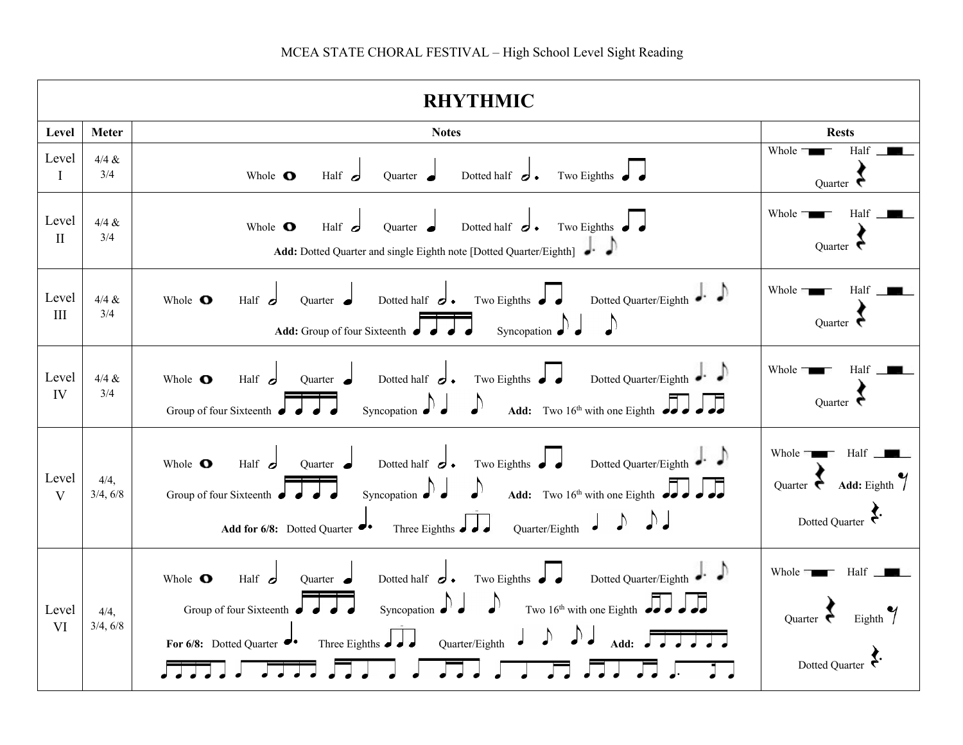| <b>RHYTHMIC</b>             |                  |                                                                                                                                                                                                                                                                                                                   |                                                                                           |  |  |  |
|-----------------------------|------------------|-------------------------------------------------------------------------------------------------------------------------------------------------------------------------------------------------------------------------------------------------------------------------------------------------------------------|-------------------------------------------------------------------------------------------|--|--|--|
| Level                       | <b>Meter</b>     | <b>Notes</b>                                                                                                                                                                                                                                                                                                      | <b>Rests</b>                                                                              |  |  |  |
| Level<br>$\bf{I}$           | $4/4 \&$<br>3/4  | Half $d$<br>Dotted half $\sigma$ .<br>Two Eighths $\bullet$<br>Whole O<br>Quarter $\bullet$                                                                                                                                                                                                                       | Whole #<br>Half<br>Quarter $\epsilon$                                                     |  |  |  |
| Level<br>$\mathbf{I}$       | 4/4 &<br>3/4     | Dotted half $\sigma$ .<br>Two Eighths $\bullet$<br>Whole O<br>Half $d$<br>Quarter $\bullet$<br>Add: Dotted Quarter and single Eighth note [Dotted Quarter/Eighth]                                                                                                                                                 | Whole<br>Half<br>Quarter $\bullet$                                                        |  |  |  |
| Level<br>$\mathop{\rm III}$ | 4/4 &<br>3/4     | Dotted Quarter/Eighth ••<br>Whole <b>O</b><br>Two Eighths<br>Dotted half $\sigma$ .<br>Half $\sigma$<br>Quarter $\bullet$<br>$\bigwedge$<br>Add: Group of four Sixteenth<br>Syncopation <                                                                                                                         | Whole =<br>Half<br>Quarter $\bullet$                                                      |  |  |  |
| Level<br>IV                 | 4/4 &<br>3/4     | Dotted Quarter/Eighth $\bullet$<br>Dotted half $\sigma$ .<br>Two Eighths $\bullet$<br>Whole $\bullet$<br>Half $\sigma$<br>Quarter $\bullet$<br>Add: Two $16^{th}$ with one Eighth $\bullet$ .<br>Group of four Sixteenth<br>Syncopation $\bullet$                                                                 | Whole =<br>Half<br>Quarter $\epsilon$                                                     |  |  |  |
| Level<br>V                  | 4/4,<br>3/4, 6/8 | Dotted Quarter/Eighth<br>Dotted half $\sigma$ .<br>Two Eighths $\bullet$<br>Whole $\bullet$<br>Half $\sigma$<br>Quarter •<br>Add: Two $16^{th}$ with one Eighth $\bullet$<br>Group of four Sixteenth<br>Syncopation $\bullet$<br>Three Eighths $\int d\theta$<br>Quarter/Eighth<br>Add for $6/8$ : Dotted Quarter | Half $\Box$<br>Whole $\Box$<br>Add: Eighth $\int$<br>Quarter $\epsilon$<br>Dotted Quarter |  |  |  |
| Level<br><b>VI</b>          | 4/4,<br>3/4, 6/8 | Dotted Quarter/Eighth<br>Dotted half $\sigma$ .<br>Two Eighths $\bullet$<br>Whole $\bullet$<br>Half $d$<br>Quarter $\blacksquare$<br>Two $16th$ with one Eighth<br>Group of four Sixteenth<br>Syncopation $\bullet$<br>Three Eighths $\int \int$<br>Quarter/Eighth<br>For 6/8: Dotted Quarter                     | Whole $\blacksquare$<br>Half<br>Eighth<br>Ouarter $\epsilon$<br>Dotted Quarter            |  |  |  |